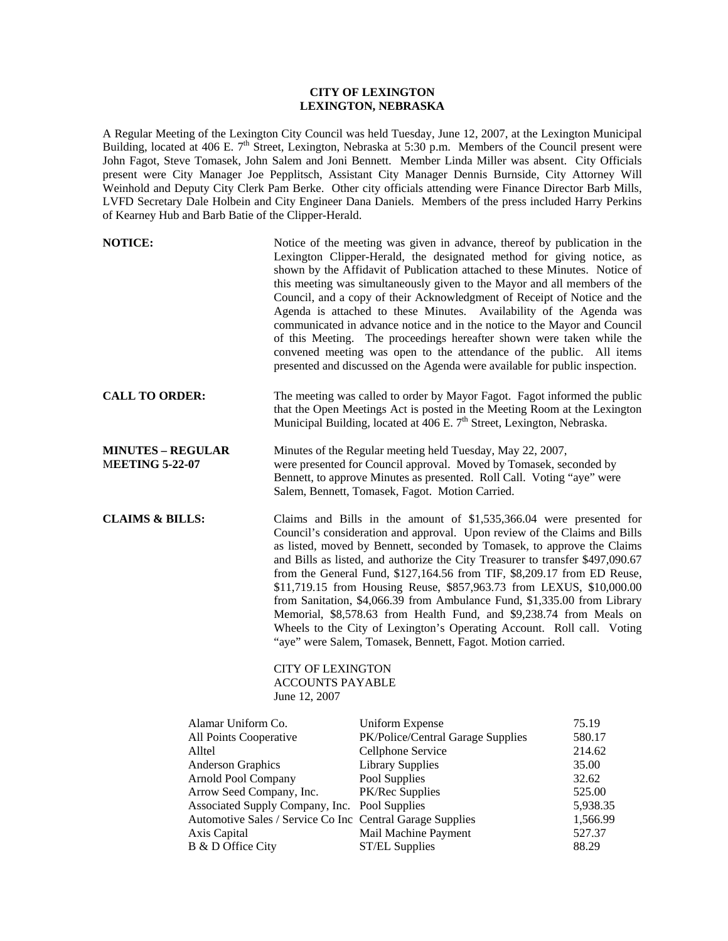## **CITY OF LEXINGTON LEXINGTON, NEBRASKA**

A Regular Meeting of the Lexington City Council was held Tuesday, June 12, 2007, at the Lexington Municipal Building, located at 406 E. 7<sup>th</sup> Street, Lexington, Nebraska at 5:30 p.m. Members of the Council present were John Fagot, Steve Tomasek, John Salem and Joni Bennett. Member Linda Miller was absent. City Officials present were City Manager Joe Pepplitsch, Assistant City Manager Dennis Burnside, City Attorney Will Weinhold and Deputy City Clerk Pam Berke. Other city officials attending were Finance Director Barb Mills, LVFD Secretary Dale Holbein and City Engineer Dana Daniels. Members of the press included Harry Perkins of Kearney Hub and Barb Batie of the Clipper-Herald.

| <b>NOTICE:</b>                                                                                                                                                                                                                                                                                                                          |  |                                                                                                                                                                                                                                                                                                                                                                                                                                                                                                                                                                                                                                                                                                                                                                                                                    | Notice of the meeting was given in advance, thereof by publication in the<br>Lexington Clipper-Herald, the designated method for giving notice, as<br>shown by the Affidavit of Publication attached to these Minutes. Notice of<br>this meeting was simultaneously given to the Mayor and all members of the<br>Council, and a copy of their Acknowledgment of Receipt of Notice and the<br>Agenda is attached to these Minutes. Availability of the Agenda was<br>communicated in advance notice and in the notice to the Mayor and Council<br>of this Meeting. The proceedings hereafter shown were taken while the<br>convened meeting was open to the attendance of the public. All items<br>presented and discussed on the Agenda were available for public inspection. |  |
|-----------------------------------------------------------------------------------------------------------------------------------------------------------------------------------------------------------------------------------------------------------------------------------------------------------------------------------------|--|--------------------------------------------------------------------------------------------------------------------------------------------------------------------------------------------------------------------------------------------------------------------------------------------------------------------------------------------------------------------------------------------------------------------------------------------------------------------------------------------------------------------------------------------------------------------------------------------------------------------------------------------------------------------------------------------------------------------------------------------------------------------------------------------------------------------|-------------------------------------------------------------------------------------------------------------------------------------------------------------------------------------------------------------------------------------------------------------------------------------------------------------------------------------------------------------------------------------------------------------------------------------------------------------------------------------------------------------------------------------------------------------------------------------------------------------------------------------------------------------------------------------------------------------------------------------------------------------------------------|--|
| <b>CALL TO ORDER:</b>                                                                                                                                                                                                                                                                                                                   |  | The meeting was called to order by Mayor Fagot. Fagot informed the public<br>that the Open Meetings Act is posted in the Meeting Room at the Lexington<br>Municipal Building, located at 406 E. 7 <sup>th</sup> Street, Lexington, Nebraska.                                                                                                                                                                                                                                                                                                                                                                                                                                                                                                                                                                       |                                                                                                                                                                                                                                                                                                                                                                                                                                                                                                                                                                                                                                                                                                                                                                               |  |
| <b>MINUTES - REGULAR</b><br><b>MEETING 5-22-07</b>                                                                                                                                                                                                                                                                                      |  | Minutes of the Regular meeting held Tuesday, May 22, 2007,<br>were presented for Council approval. Moved by Tomasek, seconded by<br>Bennett, to approve Minutes as presented. Roll Call. Voting "aye" were<br>Salem, Bennett, Tomasek, Fagot. Motion Carried.                                                                                                                                                                                                                                                                                                                                                                                                                                                                                                                                                      |                                                                                                                                                                                                                                                                                                                                                                                                                                                                                                                                                                                                                                                                                                                                                                               |  |
| <b>CLAIMS &amp; BILLS:</b><br>June 12, 2007<br>Alamar Uniform Co.<br>All Points Cooperative<br>Alltel<br><b>Anderson Graphics</b><br>Arnold Pool Company<br>Arrow Seed Company, Inc.<br>Associated Supply Company, Inc. Pool Supplies<br>Automotive Sales / Service Co Inc Central Garage Supplies<br>Axis Capital<br>B & D Office City |  | Claims and Bills in the amount of \$1,535,366.04 were presented for<br>Council's consideration and approval. Upon review of the Claims and Bills<br>as listed, moved by Bennett, seconded by Tomasek, to approve the Claims<br>and Bills as listed, and authorize the City Treasurer to transfer \$497,090.67<br>from the General Fund, \$127,164.56 from TIF, \$8,209.17 from ED Reuse,<br>\$11,719.15 from Housing Reuse, \$857,963.73 from LEXUS, \$10,000.00<br>from Sanitation, \$4,066.39 from Ambulance Fund, \$1,335.00 from Library<br>Memorial, \$8,578.63 from Health Fund, and \$9,238.74 from Meals on<br>Wheels to the City of Lexington's Operating Account. Roll call. Voting<br>"aye" were Salem, Tomasek, Bennett, Fagot. Motion carried.<br><b>CITY OF LEXINGTON</b><br><b>ACCOUNTS PAYABLE</b> |                                                                                                                                                                                                                                                                                                                                                                                                                                                                                                                                                                                                                                                                                                                                                                               |  |
|                                                                                                                                                                                                                                                                                                                                         |  | <b>Uniform Expense</b><br>PK/Police/Central Garage Supplies<br>Cellphone Service<br><b>Library Supplies</b><br>Pool Supplies<br>PK/Rec Supplies<br>Mail Machine Payment<br><b>ST/EL Supplies</b>                                                                                                                                                                                                                                                                                                                                                                                                                                                                                                                                                                                                                   | 75.19<br>580.17<br>214.62<br>35.00<br>32.62<br>525.00<br>5,938.35<br>1,566.99<br>527.37<br>88.29                                                                                                                                                                                                                                                                                                                                                                                                                                                                                                                                                                                                                                                                              |  |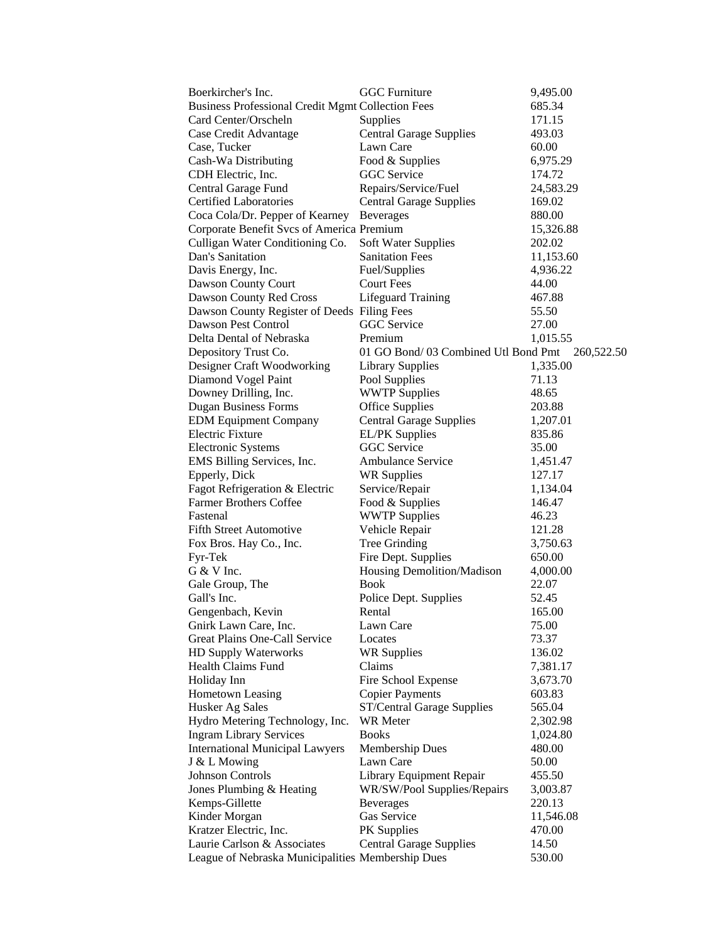| Boerkircher's Inc.                                       | <b>GGC</b> Furniture                | 9,495.00   |
|----------------------------------------------------------|-------------------------------------|------------|
| <b>Business Professional Credit Mgmt Collection Fees</b> |                                     | 685.34     |
| Card Center/Orscheln                                     | Supplies                            | 171.15     |
| Case Credit Advantage                                    | <b>Central Garage Supplies</b>      | 493.03     |
| Case, Tucker                                             | Lawn Care                           | 60.00      |
| Cash-Wa Distributing                                     | Food & Supplies                     | 6,975.29   |
| CDH Electric, Inc.                                       | <b>GGC</b> Service                  | 174.72     |
| Central Garage Fund                                      | Repairs/Service/Fuel                | 24,583.29  |
| <b>Certified Laboratories</b>                            | <b>Central Garage Supplies</b>      | 169.02     |
| Coca Cola/Dr. Pepper of Kearney                          | <b>Beverages</b>                    | 880.00     |
| Corporate Benefit Svcs of America Premium                |                                     | 15,326.88  |
| Culligan Water Conditioning Co.                          | <b>Soft Water Supplies</b>          | 202.02     |
| Dan's Sanitation                                         | <b>Sanitation Fees</b>              | 11,153.60  |
| Davis Energy, Inc.                                       | Fuel/Supplies                       | 4,936.22   |
| Dawson County Court                                      | <b>Court Fees</b>                   | 44.00      |
| Dawson County Red Cross                                  | <b>Lifeguard Training</b>           | 467.88     |
| Dawson County Register of Deeds Filing Fees              |                                     | 55.50      |
| Dawson Pest Control                                      | <b>GGC</b> Service                  |            |
|                                                          |                                     | 27.00      |
| Delta Dental of Nebraska                                 | Premium                             | 1,015.55   |
| Depository Trust Co.                                     | 01 GO Bond/03 Combined Utl Bond Pmt | 260,522.50 |
| Designer Craft Woodworking                               | <b>Library Supplies</b>             | 1,335.00   |
| Diamond Vogel Paint                                      | Pool Supplies                       | 71.13      |
| Downey Drilling, Inc.                                    | <b>WWTP Supplies</b>                | 48.65      |
| <b>Dugan Business Forms</b>                              | <b>Office Supplies</b>              | 203.88     |
| <b>EDM Equipment Company</b>                             | <b>Central Garage Supplies</b>      | 1,207.01   |
| <b>Electric Fixture</b>                                  | <b>EL/PK</b> Supplies               | 835.86     |
| <b>Electronic Systems</b>                                | GGC Service                         | 35.00      |
| EMS Billing Services, Inc.                               | <b>Ambulance Service</b>            | 1,451.47   |
| Epperly, Dick                                            | <b>WR Supplies</b>                  | 127.17     |
| Fagot Refrigeration & Electric                           | Service/Repair                      | 1,134.04   |
| <b>Farmer Brothers Coffee</b>                            | Food & Supplies                     | 146.47     |
| Fastenal                                                 | <b>WWTP Supplies</b>                | 46.23      |
| <b>Fifth Street Automotive</b>                           | Vehicle Repair                      | 121.28     |
| Fox Bros. Hay Co., Inc.                                  | Tree Grinding                       | 3,750.63   |
| Fyr-Tek                                                  | Fire Dept. Supplies                 | 650.00     |
| G & V Inc.                                               | Housing Demolition/Madison          | 4,000.00   |
| Gale Group, The                                          | <b>Book</b>                         | 22.07      |
| Gall's Inc.                                              | Police Dept. Supplies               | 52.45      |
| Gengenbach, Kevin                                        | Rental                              | 165.00     |
| Gnirk Lawn Care, Inc.                                    | Lawn Care                           | 75.00      |
| Great Plains One-Call Service                            | Locates                             | 73.37      |
| <b>HD Supply Waterworks</b>                              | <b>WR Supplies</b>                  | 136.02     |
| Health Claims Fund                                       | Claims                              | 7,381.17   |
| Holiday Inn                                              | Fire School Expense                 | 3,673.70   |
| <b>Hometown Leasing</b>                                  | <b>Copier Payments</b>              | 603.83     |
| Husker Ag Sales                                          | ST/Central Garage Supplies          | 565.04     |
| Hydro Metering Technology, Inc.                          | <b>WR</b> Meter                     | 2,302.98   |
| <b>Ingram Library Services</b>                           | <b>Books</b>                        | 1,024.80   |
| <b>International Municipal Lawyers</b>                   | <b>Membership Dues</b>              | 480.00     |
| J & L Mowing                                             | Lawn Care                           | 50.00      |
| Johnson Controls                                         | Library Equipment Repair            | 455.50     |
| Jones Plumbing & Heating                                 | WR/SW/Pool Supplies/Repairs         | 3,003.87   |
| Kemps-Gillette                                           | <b>Beverages</b>                    | 220.13     |
| Kinder Morgan                                            | Gas Service                         | 11,546.08  |
| Kratzer Electric, Inc.                                   | PK Supplies                         | 470.00     |
| Laurie Carlson & Associates                              |                                     | 14.50      |
|                                                          | <b>Central Garage Supplies</b>      |            |
| League of Nebraska Municipalities Membership Dues        |                                     | 530.00     |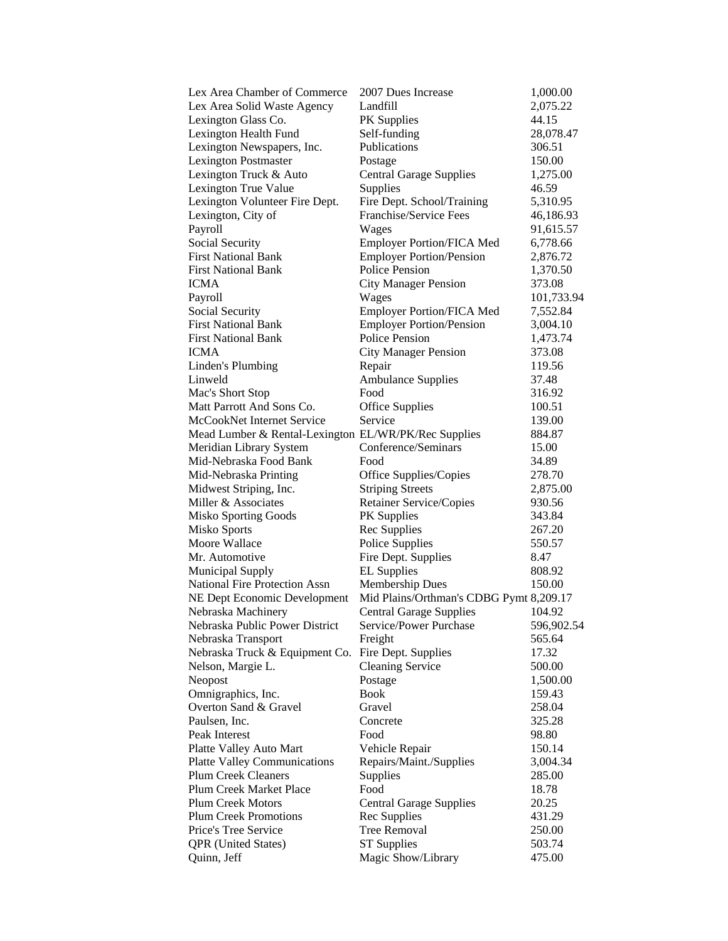| Lex Area Chamber of Commerce                         | 2007 Dues Increase                      | 1,000.00   |
|------------------------------------------------------|-----------------------------------------|------------|
| Lex Area Solid Waste Agency                          | Landfill                                | 2,075.22   |
| Lexington Glass Co.                                  | <b>PK</b> Supplies                      | 44.15      |
| Lexington Health Fund                                | Self-funding                            | 28,078.47  |
| Lexington Newspapers, Inc.                           | Publications                            | 306.51     |
| <b>Lexington Postmaster</b>                          | Postage                                 | 150.00     |
| Lexington Truck & Auto                               | <b>Central Garage Supplies</b>          | 1,275.00   |
| Lexington True Value                                 | Supplies                                | 46.59      |
| Lexington Volunteer Fire Dept.                       | Fire Dept. School/Training              | 5,310.95   |
| Lexington, City of                                   | Franchise/Service Fees                  | 46,186.93  |
| Payroll                                              | Wages                                   | 91,615.57  |
| Social Security                                      | <b>Employer Portion/FICA Med</b>        | 6,778.66   |
| <b>First National Bank</b>                           | <b>Employer Portion/Pension</b>         | 2,876.72   |
| <b>First National Bank</b>                           | Police Pension                          | 1,370.50   |
| ICMA                                                 | <b>City Manager Pension</b>             | 373.08     |
| Payroll                                              | Wages                                   | 101,733.94 |
| <b>Social Security</b>                               | <b>Employer Portion/FICA Med</b>        | 7,552.84   |
| <b>First National Bank</b>                           | <b>Employer Portion/Pension</b>         | 3,004.10   |
| <b>First National Bank</b>                           | Police Pension                          | 1,473.74   |
| ICMA                                                 | <b>City Manager Pension</b>             | 373.08     |
| Linden's Plumbing                                    | Repair                                  | 119.56     |
| Linweld                                              | <b>Ambulance Supplies</b>               | 37.48      |
| Mac's Short Stop                                     | Food                                    | 316.92     |
| Matt Parrott And Sons Co.                            | <b>Office Supplies</b>                  | 100.51     |
| McCookNet Internet Service                           | Service                                 | 139.00     |
| Mead Lumber & Rental-Lexington EL/WR/PK/Rec Supplies |                                         | 884.87     |
| Meridian Library System                              | Conference/Seminars                     | 15.00      |
| Mid-Nebraska Food Bank                               | Food                                    | 34.89      |
| Mid-Nebraska Printing                                | Office Supplies/Copies                  | 278.70     |
| Midwest Striping, Inc.                               | <b>Striping Streets</b>                 | 2,875.00   |
| Miller & Associates                                  | Retainer Service/Copies                 | 930.56     |
| Misko Sporting Goods                                 | PK Supplies                             | 343.84     |
| <b>Misko Sports</b>                                  | Rec Supplies                            | 267.20     |
| Moore Wallace                                        | Police Supplies                         | 550.57     |
| Mr. Automotive                                       | Fire Dept. Supplies                     | 8.47       |
| <b>Municipal Supply</b>                              | <b>EL Supplies</b>                      | 808.92     |
| <b>National Fire Protection Assn</b>                 | <b>Membership Dues</b>                  | 150.00     |
| NE Dept Economic Development                         | Mid Plains/Orthman's CDBG Pymt 8,209.17 |            |
| Nebraska Machinery                                   | <b>Central Garage Supplies</b>          | 104.92     |
| Nebraska Public Power District                       | Service/Power Purchase                  | 596,902.54 |
| Nebraska Transport                                   | Freight                                 | 565.64     |
| Nebraska Truck & Equipment Co.                       | Fire Dept. Supplies                     | 17.32      |
| Nelson, Margie L.                                    | <b>Cleaning Service</b>                 | 500.00     |
| Neopost                                              | Postage                                 | 1,500.00   |
| Omnigraphics, Inc.                                   | <b>Book</b>                             | 159.43     |
| Overton Sand & Gravel                                | Gravel                                  | 258.04     |
| Paulsen, Inc.                                        | Concrete                                | 325.28     |
| Peak Interest                                        | Food                                    | 98.80      |
| Platte Valley Auto Mart                              | Vehicle Repair                          | 150.14     |
| <b>Platte Valley Communications</b>                  | Repairs/Maint./Supplies                 | 3,004.34   |
| <b>Plum Creek Cleaners</b>                           | Supplies                                | 285.00     |
| Plum Creek Market Place                              | Food                                    | 18.78      |
| Plum Creek Motors                                    | <b>Central Garage Supplies</b>          | 20.25      |
| <b>Plum Creek Promotions</b>                         | Rec Supplies                            | 431.29     |
| Price's Tree Service                                 | <b>Tree Removal</b>                     | 250.00     |
| <b>QPR</b> (United States)                           | <b>ST</b> Supplies                      | 503.74     |
| Quinn, Jeff                                          | Magic Show/Library                      | 475.00     |
|                                                      |                                         |            |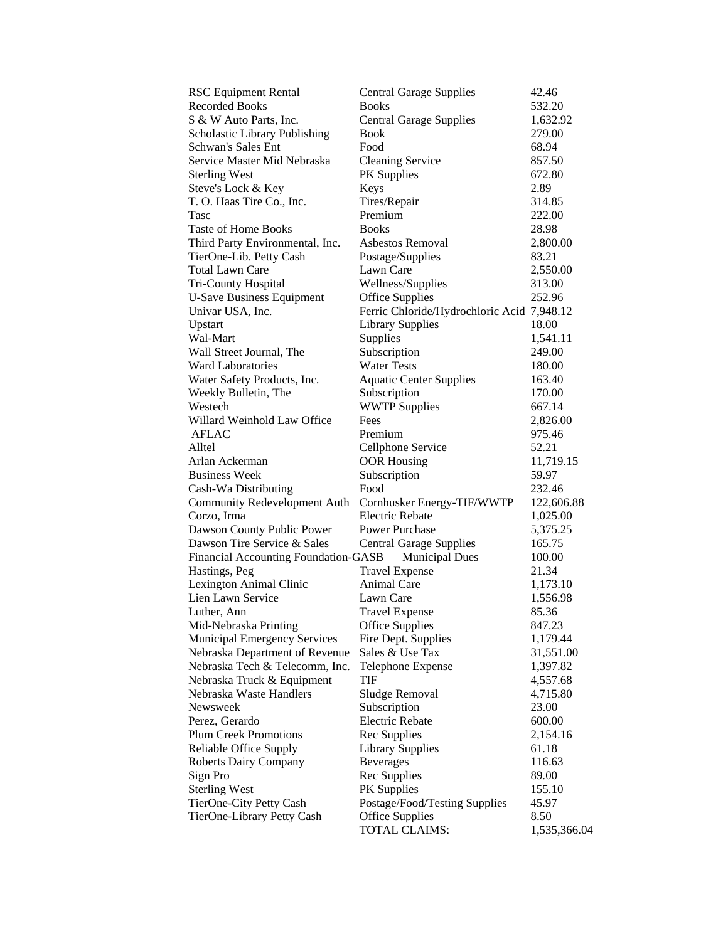| <b>RSC Equipment Rental</b>                 | <b>Central Garage Supplies</b>             | 42.46        |
|---------------------------------------------|--------------------------------------------|--------------|
| <b>Recorded Books</b>                       | <b>Books</b>                               | 532.20       |
| S & W Auto Parts, Inc.                      | <b>Central Garage Supplies</b>             | 1,632.92     |
| Scholastic Library Publishing               | Book                                       | 279.00       |
| <b>Schwan's Sales Ent</b>                   | Food                                       | 68.94        |
| Service Master Mid Nebraska                 | <b>Cleaning Service</b>                    | 857.50       |
| <b>Sterling West</b>                        | <b>PK</b> Supplies                         | 672.80       |
| Steve's Lock & Key                          | Keys                                       | 2.89         |
| T. O. Haas Tire Co., Inc.                   | Tires/Repair                               | 314.85       |
| Tasc                                        | Premium                                    | 222.00       |
| <b>Taste of Home Books</b>                  | <b>Books</b>                               | 28.98        |
| Third Party Environmental, Inc.             | Asbestos Removal                           | 2,800.00     |
| TierOne-Lib. Petty Cash                     | Postage/Supplies                           | 83.21        |
| Total Lawn Care                             | Lawn Care                                  | 2,550.00     |
| Tri-County Hospital                         | Wellness/Supplies                          | 313.00       |
| <b>U-Save Business Equipment</b>            | <b>Office Supplies</b>                     | 252.96       |
| Univar USA, Inc.                            | Ferric Chloride/Hydrochloric Acid 7,948.12 |              |
| Upstart                                     | <b>Library Supplies</b>                    | 18.00        |
| Wal-Mart                                    | Supplies                                   | 1,541.11     |
| Wall Street Journal, The                    | Subscription                               | 249.00       |
| <b>Ward Laboratories</b>                    | <b>Water Tests</b>                         | 180.00       |
| Water Safety Products, Inc.                 | <b>Aquatic Center Supplies</b>             | 163.40       |
| Weekly Bulletin, The                        | Subscription                               | 170.00       |
| Westech                                     | <b>WWTP Supplies</b>                       | 667.14       |
| Willard Weinhold Law Office                 | Fees                                       | 2,826.00     |
| <b>AFLAC</b>                                | Premium                                    | 975.46       |
| Alltel                                      | Cellphone Service                          | 52.21        |
| Arlan Ackerman                              | <b>OOR Housing</b>                         | 11,719.15    |
| <b>Business Week</b>                        | Subscription                               | 59.97        |
| Cash-Wa Distributing                        | Food                                       | 232.46       |
| <b>Community Redevelopment Auth</b>         | Cornhusker Energy-TIF/WWTP                 | 122,606.88   |
| Corzo, Irma                                 | <b>Electric Rebate</b>                     | 1,025.00     |
| Dawson County Public Power                  | <b>Power Purchase</b>                      | 5,375.25     |
| Dawson Tire Service & Sales                 | <b>Central Garage Supplies</b>             | 165.75       |
| <b>Financial Accounting Foundation-GASB</b> | <b>Municipal Dues</b>                      | 100.00       |
| Hastings, Peg                               | <b>Travel Expense</b>                      | 21.34        |
| Lexington Animal Clinic                     | Animal Care                                | 1,173.10     |
| Lien Lawn Service                           | Lawn Care                                  | 1,556.98     |
| Luther, Ann                                 | <b>Travel Expense</b>                      | 85.36        |
| Mid-Nebraska Printing                       | <b>Office Supplies</b>                     | 847.23       |
| <b>Municipal Emergency Services</b>         | Fire Dept. Supplies                        | 1,179.44     |
| Nebraska Department of Revenue              | Sales & Use Tax                            | 31,551.00    |
| Nebraska Tech & Telecomm, Inc.              | Telephone Expense                          | 1,397.82     |
| Nebraska Truck & Equipment                  | <b>TIF</b>                                 | 4,557.68     |
| Nebraska Waste Handlers                     | Sludge Removal                             | 4,715.80     |
| Newsweek                                    | Subscription                               | 23.00        |
| Perez, Gerardo                              | <b>Electric Rebate</b>                     | 600.00       |
| <b>Plum Creek Promotions</b>                | Rec Supplies                               | 2,154.16     |
| Reliable Office Supply                      | <b>Library Supplies</b>                    | 61.18        |
|                                             |                                            |              |
| <b>Roberts Dairy Company</b>                | <b>Beverages</b>                           | 116.63       |
| Sign Pro                                    | Rec Supplies                               | 89.00        |
| <b>Sterling West</b>                        | <b>PK</b> Supplies                         | 155.10       |
| TierOne-City Petty Cash                     | Postage/Food/Testing Supplies              | 45.97        |
| TierOne-Library Petty Cash                  | <b>Office Supplies</b><br>TOTAL CLAIMS:    | 8.50         |
|                                             |                                            | 1,535,366.04 |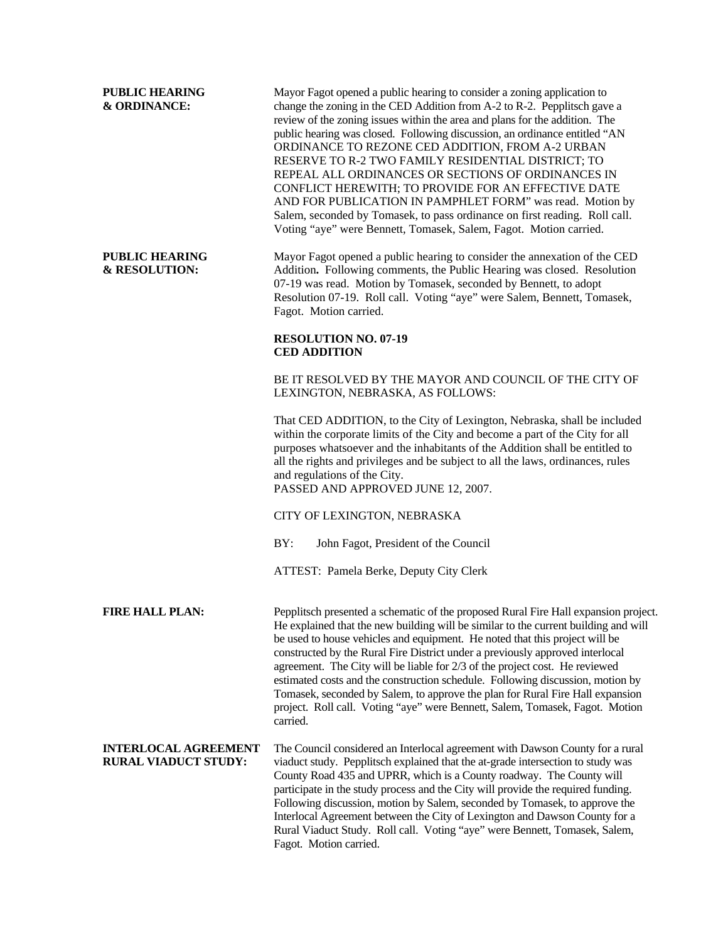**PUBLIC HEARING** Mayor Fagot opened a public hearing to consider a zoning application to **& ORDINANCE:** change the zoning in the CED Addition from A-2 to R-2. Pepplitsch gave a review of the zoning issues within the area and plans for the addition. The public hearing was closed. Following discussion, an ordinance entitled "AN ORDINANCE TO REZONE CED ADDITION, FROM A-2 URBAN RESERVE TO R-2 TWO FAMILY RESIDENTIAL DISTRICT; TO REPEAL ALL ORDINANCES OR SECTIONS OF ORDINANCES IN CONFLICT HEREWITH; TO PROVIDE FOR AN EFFECTIVE DATE AND FOR PUBLICATION IN PAMPHLET FORM" was read. Motion by Salem, seconded by Tomasek, to pass ordinance on first reading. Roll call. Voting "aye" were Bennett, Tomasek, Salem, Fagot. Motion carried.

**PUBLIC HEARING** Mayor Fagot opened a public hearing to consider the annexation of the CED **& RESOLUTION:** Addition**.** Following comments, the Public Hearing was closed. Resolution 07-19 was read. Motion by Tomasek, seconded by Bennett, to adopt Resolution 07-19. Roll call. Voting "aye" were Salem, Bennett, Tomasek, Fagot. Motion carried.

## **RESOLUTION NO. 07-19 CED ADDITION**

BE IT RESOLVED BY THE MAYOR AND COUNCIL OF THE CITY OF LEXINGTON, NEBRASKA, AS FOLLOWS:

That CED ADDITION, to the City of Lexington, Nebraska, shall be included within the corporate limits of the City and become a part of the City for all purposes whatsoever and the inhabitants of the Addition shall be entitled to all the rights and privileges and be subject to all the laws, ordinances, rules and regulations of the City. PASSED AND APPROVED JUNE 12, 2007.

CITY OF LEXINGTON, NEBRASKA

BY: John Fagot, President of the Council

ATTEST: Pamela Berke, Deputy City Clerk

**FIRE HALL PLAN:** Pepplitsch presented a schematic of the proposed Rural Fire Hall expansion project. He explained that the new building will be similar to the current building and will be used to house vehicles and equipment. He noted that this project will be constructed by the Rural Fire District under a previously approved interlocal agreement. The City will be liable for 2/3 of the project cost. He reviewed estimated costs and the construction schedule. Following discussion, motion by Tomasek, seconded by Salem, to approve the plan for Rural Fire Hall expansion project. Roll call. Voting "aye" were Bennett, Salem, Tomasek, Fagot. Motion carried.

**INTERLOCAL AGREEMENT** The Council considered an Interlocal agreement with Dawson County for a rural **RURAL VIADUCT STUDY:** viaduct study. Pepplitsch explained that the at-grade intersection to study was County Road 435 and UPRR, which is a County roadway. The County will participate in the study process and the City will provide the required funding. Following discussion, motion by Salem, seconded by Tomasek, to approve the Interlocal Agreement between the City of Lexington and Dawson County for a Rural Viaduct Study. Roll call. Voting "aye" were Bennett, Tomasek, Salem, Fagot. Motion carried.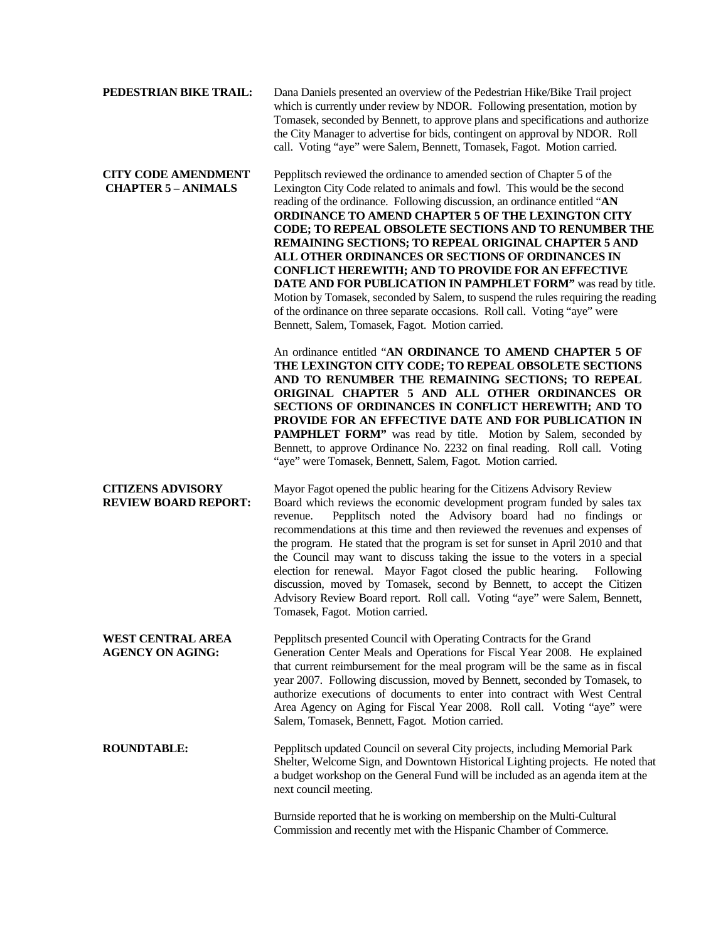| PEDESTRIAN BIKE TRAIL:                                   | Dana Daniels presented an overview of the Pedestrian Hike/Bike Trail project<br>which is currently under review by NDOR. Following presentation, motion by<br>Tomasek, seconded by Bennett, to approve plans and specifications and authorize<br>the City Manager to advertise for bids, contingent on approval by NDOR. Roll<br>call. Voting "aye" were Salem, Bennett, Tomasek, Fagot. Motion carried.                                                                                                                                                                                                                                                                                                                                                                                                                 |
|----------------------------------------------------------|--------------------------------------------------------------------------------------------------------------------------------------------------------------------------------------------------------------------------------------------------------------------------------------------------------------------------------------------------------------------------------------------------------------------------------------------------------------------------------------------------------------------------------------------------------------------------------------------------------------------------------------------------------------------------------------------------------------------------------------------------------------------------------------------------------------------------|
| <b>CITY CODE AMENDMENT</b><br><b>CHAPTER 5 - ANIMALS</b> | Pepplitsch reviewed the ordinance to amended section of Chapter 5 of the<br>Lexington City Code related to animals and fowl. This would be the second<br>reading of the ordinance. Following discussion, an ordinance entitled "AN<br><b>ORDINANCE TO AMEND CHAPTER 5 OF THE LEXINGTON CITY</b><br>CODE; TO REPEAL OBSOLETE SECTIONS AND TO RENUMBER THE<br>REMAINING SECTIONS; TO REPEAL ORIGINAL CHAPTER 5 AND<br>ALL OTHER ORDINANCES OR SECTIONS OF ORDINANCES IN<br><b>CONFLICT HEREWITH; AND TO PROVIDE FOR AN EFFECTIVE</b><br>DATE AND FOR PUBLICATION IN PAMPHLET FORM" was read by title.<br>Motion by Tomasek, seconded by Salem, to suspend the rules requiring the reading<br>of the ordinance on three separate occasions. Roll call. Voting "aye" were<br>Bennett, Salem, Tomasek, Fagot. Motion carried. |
|                                                          | An ordinance entitled "AN ORDINANCE TO AMEND CHAPTER 5 OF<br>THE LEXINGTON CITY CODE; TO REPEAL OBSOLETE SECTIONS<br>AND TO RENUMBER THE REMAINING SECTIONS; TO REPEAL<br>ORIGINAL CHAPTER 5 AND ALL OTHER ORDINANCES OR<br>SECTIONS OF ORDINANCES IN CONFLICT HEREWITH; AND TO<br>PROVIDE FOR AN EFFECTIVE DATE AND FOR PUBLICATION IN<br><b>PAMPHLET FORM</b> " was read by title. Motion by Salem, seconded by<br>Bennett, to approve Ordinance No. 2232 on final reading. Roll call. Voting<br>"ave" were Tomasek, Bennett, Salem, Fagot, Motion carried.                                                                                                                                                                                                                                                            |

**CITIZENS ADVISORY** Mayor Fagot opened the public hearing for the Citizens Advisory Review **REVIEW BOARD REPORT:** Board which reviews the economic development program funded by sales tax revenue. Pepplitsch noted the Advisory board had no findings or recommendations at this time and then reviewed the revenues and expenses of the program. He stated that the program is set for sunset in April 2010 and that the Council may want to discuss taking the issue to the voters in a special election for renewal. Mayor Fagot closed the public hearing. Following discussion, moved by Tomasek, second by Bennett, to accept the Citizen Advisory Review Board report. Roll call. Voting "aye" were Salem, Bennett, Tomasek, Fagot. Motion carried.

**WEST CENTRAL AREA** Pepplitsch presented Council with Operating Contracts for the Grand **AGENCY ON AGING:** Generation Center Meals and Operations for Fiscal Year 2008. He explained that current reimbursement for the meal program will be the same as in fiscal year 2007. Following discussion, moved by Bennett, seconded by Tomasek, to authorize executions of documents to enter into contract with West Central Area Agency on Aging for Fiscal Year 2008. Roll call. Voting "aye" were Salem, Tomasek, Bennett, Fagot. Motion carried.

**ROUNDTABLE:** Pepplitsch updated Council on several City projects, including Memorial Park Shelter, Welcome Sign, and Downtown Historical Lighting projects. He noted that a budget workshop on the General Fund will be included as an agenda item at the next council meeting.

> Burnside reported that he is working on membership on the Multi-Cultural Commission and recently met with the Hispanic Chamber of Commerce.